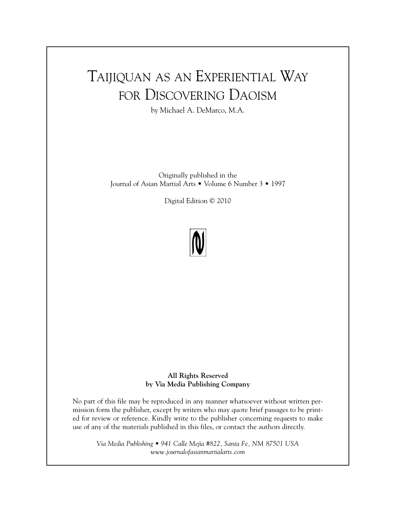# TAIJIQUAN AS AN EXPERIENTIAL WAY FOR DISCOVERING DAOISM

by Michael A. DeMarco, M.A.

Originally published in the Journal of Asian Martial Arts • Volume 6 Number 3 • 1997

Digital Edition © 2010



**All Rights Reserved by Via Media Publishing Company**

No part of this file may be reproduced in any manner whatsoever without written permission form the publisher, except by writers who may quote brief passages to be printed for review or reference. Kindly write to the publisher concerning requests to make use of any of the materials published in this files, or contact the authors directly.

*Via Media Publishing • 941 Calle Mejia #822, Santa Fe, NM 87501 USA www.journalofasianmartialarts.com*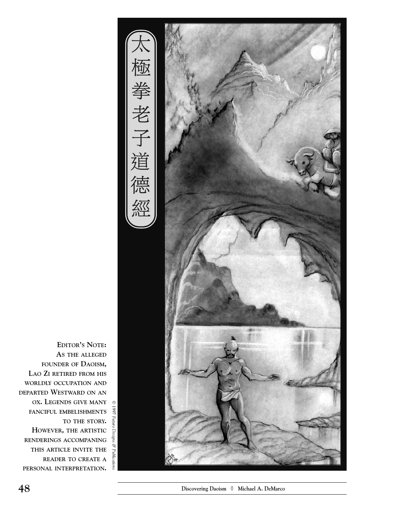

**1997 INCREADS GIVE MANY**<br>1997 FANCIFUL EMBELISHMENTS **EDITOR ' S NOTE : AS THE ALLEGED FOUNDER OF DAOISM, LAO ZI RETIRED FROM HIS WORLDLY OCCUPATION AND DEPARTED WESTWARD ON AN OX. LEGENDS GIVE MANY TO THE STORY. HOWEVER, THE ARTISTIC RENDERINGS ACCOMPANING THIS ARTICLE INVITE THE READER TO CREATE A PERSONAL INTERPRETATION.** 

*Futuro Designs &*

*Publications*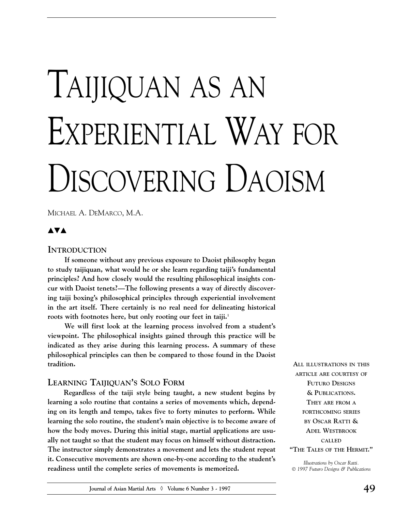# TAIJIQUAN AS AN EXPERIENTIAL WAY FOR DISCOVERING DAOISM

MICHAEL A. DEMARCO, M.A.

### **▲▼▲**

#### **INTRODUCTION**

**If someone without any previous exposure to Daoist philosophy began to study taijiquan, what would he or she learn regarding taiji's fundamental principles? And how closely would the resulting philosophical insights concur with Daoist tenets?––The following presents a way of directly discovering taiji boxing's philosophical principles through experiential involvement in the art itself. There certainly is no real need for delineating historical** roots with footnotes here, but only rooting our feet in taiji.<sup>1</sup>

**We will first look at the learning process involved from a student's viewpoint. The philosophical insights gained through this practice will be indicated as they arise during this learning process. A summary of these philosophical principles can then be compared to those found in the Daoist tradition.** 

#### **LEARNING TAIJIQUAN'S SOLO FORM**

**Regardless of the taiji style being taught, a new student begins by learning a solo routine that contains a series of movements which, depending on its length and tempo, takes five to forty minutes to perform. While learning the solo routine, the student's main objective is to become aware of how the body moves. During this initial stage, martial applications are usually not taught so that the student may focus on himself without distraction. The instructor simply demonstrates a movement and lets the student repeat it. Consecutive movements are shown one-by-one according to the student's readiness until the complete series of movements is memorized.** 

**ALL ILLUSTRATIONS IN THIS ARTICLE ARE COURTESY OF FUTURO DESIGNS & PUBLICATIONS. THEY ARE FROM A FORTHCOMING SERIES BY OSCAR RATTI & ADEL WESTBROOK CALLED "THE TALES OF THE HERMIT."**

*Illustrations by Oscar Ratti. 1997 Futuro Designs & Publications*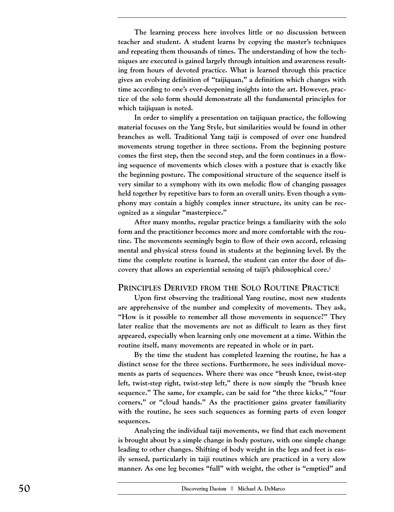**The learning process here involves little or no discussion between teacher and student. A student learns by copying the master's techniques and repeating them thousands of times. The understanding of how the techniques are executed is gained largely through intuition and awareness resulting from hours of devoted practice. What is learned through this practice gives an evolving definition of "taijiquan," a definition which changes with time according to one's ever-deepening insights into the art. However, practice of the solo form should demonstrate all the fundamental principles for which taijiquan is noted.**

**In order to simplify a presentation on taijiquan practice, the following material focuses on the Yang Style, but similarities would be found in other branches as well. Traditional Yang taiji is composed of over one hundred movements strung together in three sections. From the beginning posture comes the first step, then the second step, and the form continues in a flowing sequence of movements which closes with a posture that is exactly like the beginning posture. The compositional structure of the sequence itself is very similar to a symphony with its own melodic flow of changing passages held together by repetitive bars to form an overall unity. Even though a symphony may contain a highly complex inner structure, its unity can be recognized as a singular "masterpiece."** 

**After many months, regular practice brings a familiarity with the solo form and the practitioner becomes more and more comfortable with the routine. The movements seemingly begin to flow of their own accord, releasing mental and physical stress found in students at the beginning level. By the time the complete routine is learned, the student can enter the door of discovery that allows an experiential sensing of taiji's philosophical core.2**

#### **PRINCIPLES DERIVED FROM THE SOLO ROUTINE PRACTICE**

**Upon first observing the traditional Yang routine, most new students are apprehensive of the number and complexity of movements. They ask, "How is it possible to remember all those movements in sequence?" They later realize that the movements are not as difficult to learn as they first appeared, especially when learning only one movement at a time. Within the routine itself, many movements are repeated in whole or in part.**

**By the time the student has completed learning the routine, he has a distinct sense for the three sections. Furthermore, he sees individual movements as parts of sequences. Where there was once "brush knee, twist-step left, twist-step right, twist-step left," there is now simply the "brush knee sequence." The same, for example, can be said for "the three kicks," "four corners," or "cloud hands." As the practitioner gains greater familiarity with the routine, he sees such sequences as forming parts of even longer sequences.**

**Analyzing the individual taiji movements, we find that each movement is brought about by a simple change in body posture, with one simple change leading to other changes. Shifting of body weight in the legs and feet is easily sensed, particularly in taiji routines which are practiced in a very slow manner. As one leg becomes "full" with weight, the other is "emptied" and**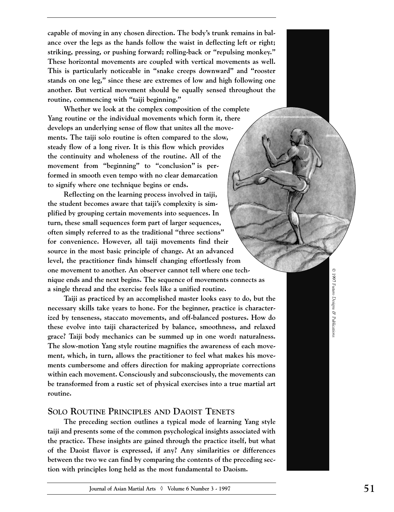**capable of moving in any chosen direction. The body's trunk remains in balance over the legs as the hands follow the waist in deflecting left or right; striking, pressing, or pushing forward; rolling-back or "repulsing monkey." These horizontal movements are coupled with vertical movements as well. This is particularly noticeable in "snake creeps downward" and "rooster stands on one leg," since these are extremes of low and high following one another. But vertical movement should be equally sensed throughout the routine, commencing with "taiji beginning."**

**Whether we look at the complex composition of the complete Yang routine or the individual movements which form it, there develops an underlying sense of flow that unites all the movements. The taiji solo routine is often compared to the slow, steady flow of a long river. It is this flow which provides the continuity and wholeness of the routine. All of the movement from "beginning" to "conclusion" is performed in smooth even tempo with no clear demarcation to signify where one technique begins or ends.**

**Reflecting on the learning process involved in taiji, the student becomes aware that taiji's complexity is simplified by grouping certain movements into sequences. In turn, these small sequences form part of larger sequences, often simply referred to as the traditional "three sections" for convenience. However, all taiji movements find their source in the most basic principle of change. At an advanced level, the practitioner finds himself changing effortlessly from one movement to another. An observer cannot tell where one technique ends and the next begins. The sequence of movements connects as a single thread and the exercise feels like a unified routine.** 

**Taiji as practiced by an accomplished master looks easy to do, but the necessary skills take years to hone. For the beginner, practice is characterized by tenseness, staccato movements, and off-balanced postures. How do these evolve into taiji characterized by balance, smoothness, and relaxed grace? Taiji body mechanics can be summed up in one word: naturalness. The slow-motion Yang style routine magnifies the awareness of each movement, which, in turn, allows the practitioner to feel what makes his movements cumbersome and offers direction for making appropriate corrections within each movement. Consciously and subconsciously, the movements can be transformed from a rustic set of physical exercises into a true martial art routine.** 

#### **SOLO ROUTINE PRINCIPLES AND DAOIST TENETS**

**The preceding section outlines a typical mode of learning Yang style taiji and presents some of the common psychological insights associated with the practice. These insights are gained through the practice itself, but what of the Daoist flavor is expressed, if any? Any similarities or differences between the two we can find by comparing the contents of the preceding section with principles long held as the most fundamental to Daoism.**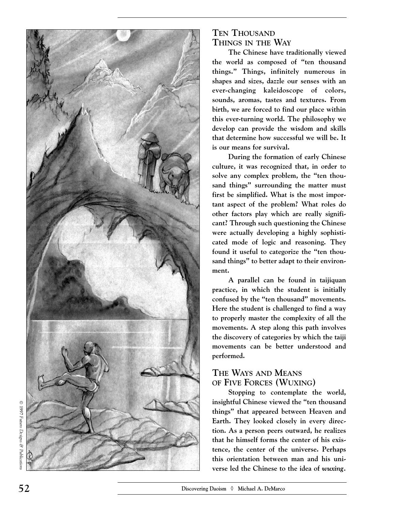

# TEN THOUSAND **THINGS IN THE WAY**

**The Chinese have traditionally viewed the world as composed of "ten thousand things." Things, infinitely numerous in shapes and sizes, dazzle our senses with an ever-changing kaleidoscope of colors, sounds, aromas, tastes and textures. From birth, we are forced to find our place within this ever-turning world. The philosophy we develop can provide the wisdom and skills that determine how successful we will be. It is our means for survival.** 

**During the formation of early Chinese culture, it was recognized that, in order to solve any complex problem, the "ten thousand things" surrounding the matter must first be simplified. What is the most important aspect of the problem? What roles do other factors play which are really significant? Through such questioning the Chinese were actually developing a highly sophisticated mode of logic and reasoning. They found it useful to categorize the "ten thousand things" to better adapt to their environment.** 

**A parallel can be found in taijiquan practice, in which the student is initially confused by the "ten thousand" movements. Here the student is challenged to find a way to properly master the complexity of all the movements. A step along this path involves the discovery of categories by which the taiji movements can be better understood and performed.**

# **THE WAYS AND MEANS OF FIVE FORCES (WUXING )**

**Stopping to contemplate the world, insightful Chinese viewed the "ten thousand things" that appeared between Heaven and Earth. They looked closely in every direction. As a person peers outward, he realizes that he himself forms the center of his existence, the center of the universe. Perhaps this orientation between man and his universe led the Chinese to the idea of** *wuxing.*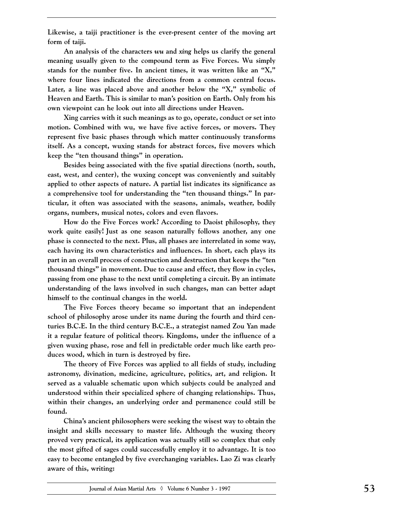**Likewise, a taiji practitioner is the ever-present center of the moving art form of taiji.** 

**An analysis of the characters** *wu* **and** *xing* **helps us clarify the general meaning usually given to the compound term as Five Forces. Wu simply stands for the number five. In ancient times, it was written like an "X," where four lines indicated the directions from a common central focus. Later, a line was placed above and another below the "X," symbolic of Heaven and Earth. This is similar to man's position on Earth. Only from his own viewpoint can he look out into all directions under Heaven.** 

**Xing carries with it such meanings as to go, operate, conduct or set into motion. Combined with wu***,* **we have five active forces, or movers. They represent five basic phases through which matter continuously transforms itself. As a concept, wuxing stands for abstract forces, five movers which keep the "ten thousand things" in operation.**

**Besides being associated with the five spatial directions (north, south, east, west, and center), the wuxing concept was conveniently and suitably applied to other aspects of nature. A partial list indicates its significance as a comprehensive tool for understanding the "ten thousand things." In particular, it often was associated with the seasons, animals, weather, bodily organs, numbers, musical notes, colors and even flavors.**

**How do the Five Forces work? According to Daoist philosophy, they work quite easily! Just as one season naturally follows another, any one phase is connected to the next. Plus, all phases are interrelated in some way, each having its own characteristics and influences. In short, each plays its part in an overall process of construction and destruction that keeps the "ten thousand things" in movement. Due to cause and effect, they flow in cycles, passing from one phase to the next until completing a circuit. By an intimate understanding of the laws involved in such changes, man can better adapt himself to the continual changes in the world.**

**The Five Forces theory became so important that an independent school of philosophy arose under its name during the fourth and third centuries B.C.E. In the third century B.C.E., a strategist named Zou Yan made it a regular feature of political theory. Kingdoms, under the influence of a given wuxing phase, rose and fell in predictable order much like earth produces wood, which in turn is destroyed by fire.**

**The theory of Five Forces was applied to all fields of study, including astronomy, divination, medicine, agriculture, politics, art, and religion. It served as a valuable schematic upon which subjects could be analyzed and understood within their specialized sphere of changing relationships. Thus, within their changes, an underlying order and permanence could still be found.**

**China's ancient philosophers were seeking the wisest way to obtain the insight and skills necessary to master life. Although the wuxing theory proved very practical, its application was actually still so complex that only the most gifted of sages could successfully employ it to advantage. It is too easy to become entangled by five everchanging variables. Lao Zi was clearly aware of this, writing:**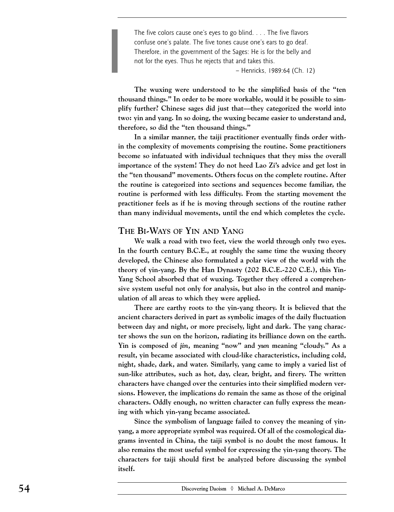The five colors cause one's eyes to go blind. . . . The five flavors confuse one's palate. The five tones cause one's ears to go deaf. Therefore, in the government of the Sages: He is for the belly and not for the eyes. Thus he rejects that and takes this.

– Henricks, 1989:64 (Ch. 12)

**The wuxing were understood to be the simplified basis of the "ten thousand things." In order to be more workable, would it be possible to simplify further? Chinese sages did just that––they categorized the world into two: yin and yang. In so doing, the wuxing became easier to understand and, therefore, so did the "ten thousand things."** 

**In a similar manner, the taiji practitioner eventually finds order within the complexity of movements comprising the routine. Some practitioners become so infatuated with individual techniques that they miss the overall importance of the system! They do not heed Lao Zi's advice and get lost in the "ten thousand" movements. Others focus on the complete routine. After the routine is categorized into sections and sequences become familiar, the routine is performed with less difficulty. From the starting movement the practitioner feels as if he is moving through sections of the routine rather than many individual movements, until the end which completes the cycle.** 

#### **THE BI-WAYS OF YIN AND YANG**

**We walk a road with two feet, view the world through only two eyes. In the fourth century B.C.E., at roughly the same time the wuxing theory developed, the Chinese also formulated a polar view of the world with the theory of yin-yang. By the Han Dynasty (202 B.C.E.-220 C.E.), this Yin-Yang School absorbed that of wuxing. Together they offered a comprehensive system useful not only for analysis, but also in the control and manipulation of all areas to which they were applied.**

**There are earthy roots to the yin-yang theory. It is believed that the ancient characters derived in part as symbolic images of the daily fluctuation between day and night, or more precisely, light and dark. The yang character shows the sun on the horizon, radiating its brilliance down on the earth. Yin is composed of** *jin,* **meaning "now" and** *yun* **meaning "cloudy." As a result, yin became associated with cloud-like characteristics, including cold, night, shade, dark, and water. Similarly, yang came to imply a varied list of sun-like attributes, such as hot, day, clear, bright, and firery. The written characters have changed over the centuries into their simplified modern versions. However, the implications do remain the same as those of the original characters. Oddly enough, no written character can fully express the meaning with which yin-yang became associated.** 

**Since the symbolism of language failed to convey the meaning of yinyang, a more appropriate symbol was required. Of all of the cosmological diagrams invented in China, the taiji symbol is no doubt the most famous. It also remains the most useful symbol for expressing the yin-yang theory. The characters for taiji should first be analyzed before discussing the symbol itself.**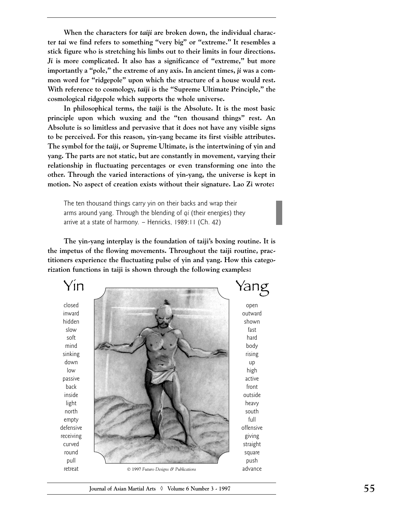**When the characters for** *taiji* **are broken down, the individual character** *tai* **we find refers to something "very big" or "extreme." It resembles a stick figure who is stretching his limbs out to their limits in four directions.** *Ji* **is more complicated. It also has a significance of "extreme," but more importantly a "pole," the extreme of any axis. In ancient times,** *ji* **was a common word for "ridgepole" upon which the structure of a house would rest. With reference to cosmology,** *taiji* **is the "Supreme Ultimate Principle," the cosmological ridgepole which supports the whole universe.**

**In philosophical terms, the** *taiji* **is the Absolute. It is the most basic principle upon which wuxing and the "ten thousand things" rest. An Absolute is so limitless and pervasive that it does not have any visible signs to be perceived. For this reason, yin-yang became its first visible attributes. The symbol for the** *taiji,* **or Supreme Ultimate, is the intertwining of yin and yang. The parts are not static, but are constantly in movement, varying their relationship in fluctuating percentages or even transforming one into the other. Through the varied interactions of yin-yang, the universe is kept in motion. No aspect of creation exists without their signature. Lao Zi wrote:**

The ten thousand things carry yin on their backs and wrap their arms around yang. Through the blending of *qi* (their energies) they arrive at a state of harmony. – Henricks, 1989:11 (Ch. 42)

**The yin-yang interplay is the foundation of taiji's boxing routine. It is the impetus of the flowing movements. Throughout the taiji routine, practitioners experience the fluctuating pulse of yin and yang. How this categorization functions in taiji is shown through the following examples:**

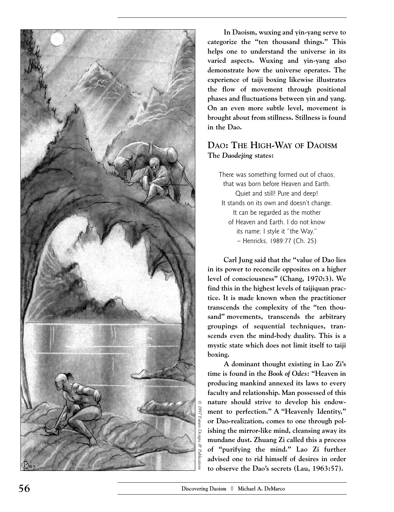

**In Daoism, wuxing and yin-yang serve to categorize the "ten thousand things." This helps one to understand the universe in its varied aspects. Wuxing and yin-yang also demonstrate how the universe operates. The experience of taiji boxing likewise illustrates the flow of movement through positional phases and fluctuations between yin and yang. On an even more subtle level, movement is brought about from stillness. Stillness is found in the Dao.**

# **DAO: THE HIGH-WAY OF DAOISM The** *Daodejing* **states:**

There was something formed out of chaos, that was born before Heaven and Earth. Quiet and still! Pure and deep! It stands on its own and doesn't change. It can be regarded as the mother of Heaven and Earth. I do not know its name: I style it "the Way." – Henricks, 1989:77 (Ch. 25)

**Carl Jung said that the "value of Dao lies in its power to reconcile opposites on a higher level of consciousness" (Chang, 1970:3). We find this in the highest levels of taijiquan practice. It is made known when the practitioner transcends the complexity of the "ten thousand" movements, transcends the arbitrary groupings of sequential techniques, transcends even the mind-body duality. This is a mystic state which does not limit itself to taiji boxing.** 

**A dominant thought existing in Lao Zi's time is found in the** *Book of Odes:* **"Heaven in producing mankind annexed its laws to every faculty and relationship. Man possessed of this nature should strive to develop his endowment to perfection." A "Heavenly Identity," or Dao-realization, comes to one through polishing the mirror-like mind, cleansing away its mundane dust. Zhuang Zi called this a process of "purifying the mind." Lao Zi further advised one to rid himself of desires in order to observe the Dao's secrets (Lau, 1963:57).**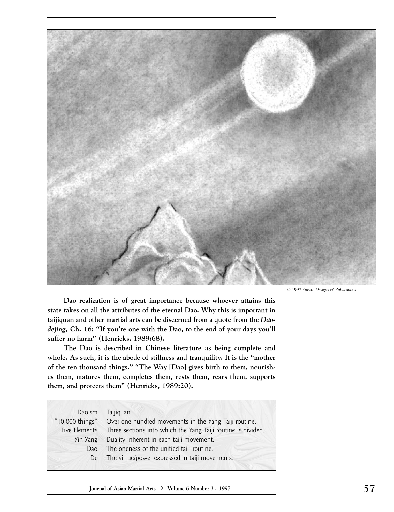

1997 *Futuro Designs & Publications*

**Dao realization is of great importance because whoever attains this state takes on all the attributes of the eternal Dao. Why this is important in taijiquan and other martial arts can be discerned from a quote from the** *Daodejing,* **Ch. 16***:* **"If you're one with the Dao, to the end of your days you'll suffer no harm" (Henricks, 1989:68).**

**The Dao is described in Chinese literature as being complete and whole. As such, it is the abode of stillness and tranquility. It is the "mother of the ten thousand things." "The Way [Dao] gives birth to them, nourishes them, matures them, completes them, rests them, rears them, supports them, and protects them" (Henricks, 1989:20).** 

| Daoism          | Taijiquan                                                    |
|-----------------|--------------------------------------------------------------|
| "I0,000 things" | Over one hundred movements in the Yang Taiji routine.        |
| Five Elements   | Three sections into which the Yang Taiji routine is divided. |
| Yin-Yang        | Duality inherent in each taiji movement.                     |
| Dao             | The oneness of the unified taiji routine.                    |
| De              | The virtue/power expressed in taiji movements.               |
|                 |                                                              |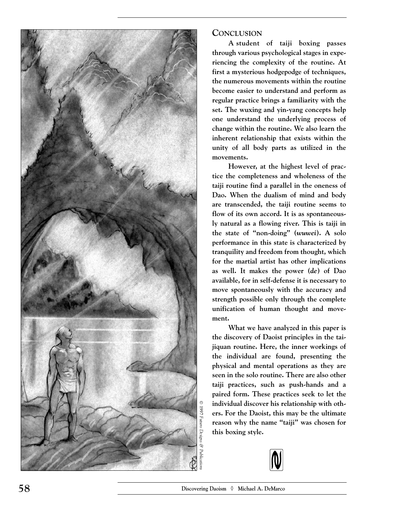

## **CONCLUSION**

**A student of taiji boxing passes through various psychological stages in experiencing the complexity of the routine. At first a mysterious hodgepodge of techniques, the numerous movements within the routine become easier to understand and perform as regular practice brings a familiarity with the set. The wuxing and yin-yang concepts help one understand the underlying process of change within the routine. We also learn the inherent relationship that exists within the unity of all body parts as utilized in the movements.**

**However, at the highest level of practice the completeness and wholeness of the taiji routine find a parallel in the oneness of Dao. When the dualism of mind and body are transcended, the taiji routine seems to flow of its own accord. It is as spontaneously natural as a flowing river. This is taiji in the state of "non-doing" (***wuwei***). A solo performance in this state is characterized by tranquility and freedom from thought, which for the martial artist has other implications as well. It makes the power (***de***) of Dao available, for in self-defense it is necessary to move spontaneously with the accuracy and strength possible only through the complete unification of human thought and movement.**

**What we have analyzed in this paper is the discovery of Daoist principles in the taijiquan routine. Here, the inner workings of the individual are found, presenting the physical and mental operations as they are seen in the solo routine. There are also other taiji practices, such as push-hands and a paired form. These practices seek to let the individual discover his relationship with others. For the Daoist, this may be the ultimate reason why the name "taiji" was chosen for this boxing style.**